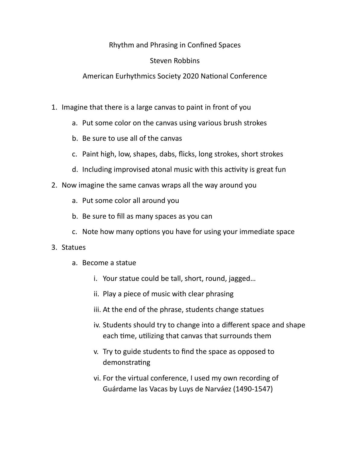Rhythm and Phrasing in Confined Spaces

## Steven Robbins

## American Eurhythmics Society 2020 National Conference

- 1. Imagine that there is a large canvas to paint in front of you
	- a. Put some color on the canvas using various brush strokes
	- b. Be sure to use all of the canvas
	- c. Paint high, low, shapes, dabs, flicks, long strokes, short strokes
	- d. Including improvised atonal music with this activity is great fun
- 2. Now imagine the same canvas wraps all the way around you
	- a. Put some color all around you
	- b. Be sure to fill as many spaces as you can
	- c. Note how many options you have for using your immediate space

## 3. Statues

- a. Become a statue
	- i. Your statue could be tall, short, round, jagged…
	- ii. Play a piece of music with clear phrasing
	- iii. At the end of the phrase, students change statues
	- iv. Students should try to change into a different space and shape each time, utilizing that canvas that surrounds them
	- v. Try to guide students to find the space as opposed to demonstrating
	- vi. For the virtual conference, I used my own recording of Guárdame las Vacas by Luys de Narváez (1490-1547)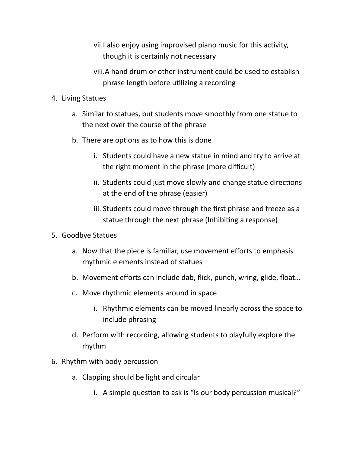- vii.I also enjoy using improvised piano music for this activity, though it is certainly not necessary
- viii.A hand drum or other instrument could be used to establish phrase length before utilizing a recording
- 4. Living Statues
	- a. Similar to statues, but students move smoothly from one statue to the next over the course of the phrase
	- b. There are options as to how this is done
		- i. Students could have a new statue in mind and try to arrive at the right moment in the phrase (more difficult)
		- ii. Students could just move slowly and change statue directions at the end of the phrase (easier)
		- iii. Students could move through the first phrase and freeze as a statue through the next phrase (Inhibiting a response)
- 5. Goodbye Statues
	- a. Now that the piece is familiar, use movement efforts to emphasis rhythmic elements instead of statues
	- b. Movement efforts can include dab, flick, punch, wring, glide, float…
	- c. Move rhythmic elements around in space
		- i. Rhythmic elements can be moved linearly across the space to include phrasing
	- d. Perform with recording, allowing students to playfully explore the rhythm
- 6. Rhythm with body percussion
	- a. Clapping should be light and circular
		- i. A simple question to ask is "Is our body percussion musical?"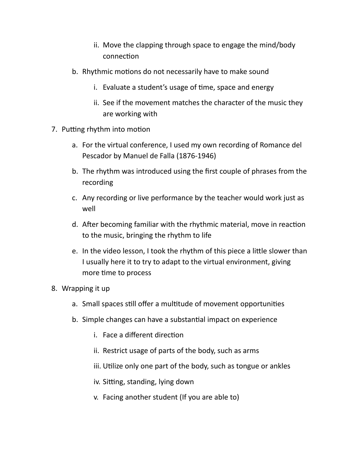- ii. Move the clapping through space to engage the mind/body connection
- b. Rhythmic motions do not necessarily have to make sound
	- i. Evaluate a student's usage of time, space and energy
	- ii. See if the movement matches the character of the music they are working with
- 7. Putting rhythm into motion
	- a. For the virtual conference, I used my own recording of Romance del Pescador by Manuel de Falla (1876-1946)
	- b. The rhythm was introduced using the first couple of phrases from the recording
	- c. Any recording or live performance by the teacher would work just as well
	- d. After becoming familiar with the rhythmic material, move in reaction to the music, bringing the rhythm to life
	- e. In the video lesson, I took the rhythm of this piece a little slower than I usually here it to try to adapt to the virtual environment, giving more time to process
- 8. Wrapping it up
	- a. Small spaces still offer a multitude of movement opportunities
	- b. Simple changes can have a substantial impact on experience
		- i. Face a different direction
		- ii. Restrict usage of parts of the body, such as arms
		- iii. Utilize only one part of the body, such as tongue or ankles
		- iv. Sitting, standing, lying down
		- v. Facing another student (If you are able to)